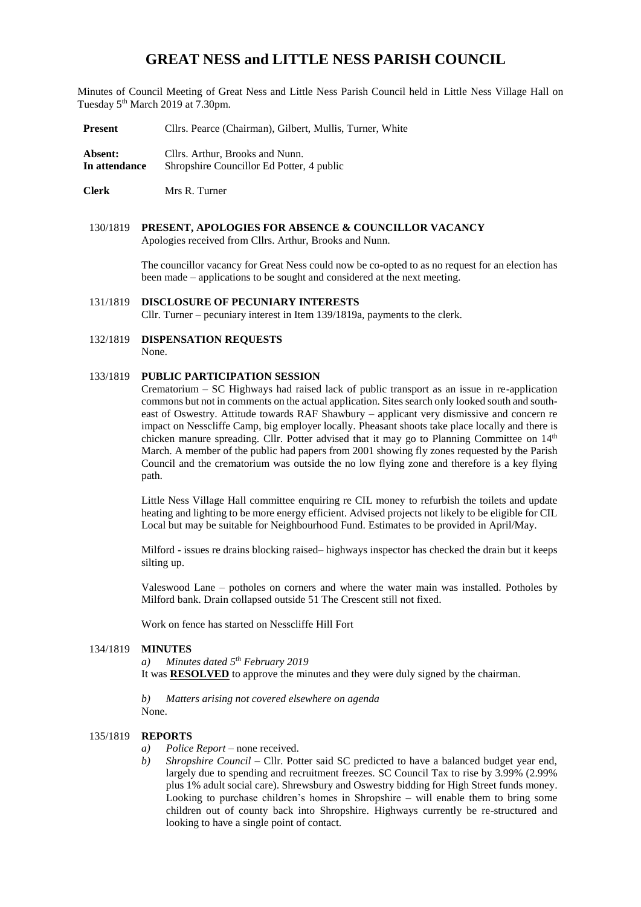# **GREAT NESS and LITTLE NESS PARISH COUNCIL**

Minutes of Council Meeting of Great Ness and Little Ness Parish Council held in Little Ness Village Hall on Tuesday 5<sup>th</sup> March 2019 at 7.30pm.

**Present** Cllrs. Pearce (Chairman), Gilbert, Mullis, Turner, White

Absent: Cllrs. Arthur, Brooks and Nunn. **In attendance** Shropshire Councillor Ed Potter, 4 public

**Clerk** Mrs R. Turner

## 130/1819 **PRESENT, APOLOGIES FOR ABSENCE & COUNCILLOR VACANCY**

Apologies received from Cllrs. Arthur, Brooks and Nunn.

The councillor vacancy for Great Ness could now be co-opted to as no request for an election has been made – applications to be sought and considered at the next meeting.

#### 131/1819 **DISCLOSURE OF PECUNIARY INTERESTS**

Cllr. Turner – pecuniary interest in Item 139/1819a, payments to the clerk.

132/1819 **DISPENSATION REQUESTS** None.

## 133/1819 **PUBLIC PARTICIPATION SESSION**

Crematorium – SC Highways had raised lack of public transport as an issue in re-application commons but not in comments on the actual application. Sites search only looked south and southeast of Oswestry. Attitude towards RAF Shawbury – applicant very dismissive and concern re impact on Nesscliffe Camp, big employer locally. Pheasant shoots take place locally and there is chicken manure spreading. Cllr. Potter advised that it may go to Planning Committee on 14<sup>th</sup> March. A member of the public had papers from 2001 showing fly zones requested by the Parish Council and the crematorium was outside the no low flying zone and therefore is a key flying path.

Little Ness Village Hall committee enquiring re CIL money to refurbish the toilets and update heating and lighting to be more energy efficient. Advised projects not likely to be eligible for CIL Local but may be suitable for Neighbourhood Fund. Estimates to be provided in April/May.

Milford - issues re drains blocking raised– highways inspector has checked the drain but it keeps silting up.

Valeswood Lane – potholes on corners and where the water main was installed. Potholes by Milford bank. Drain collapsed outside 51 The Crescent still not fixed.

Work on fence has started on Nesscliffe Hill Fort

#### 134/1819 **MINUTES**

*a) Minutes dated 5 th February 2019* It was **RESOLVED** to approve the minutes and they were duly signed by the chairman.

*b) Matters arising not covered elsewhere on agenda* None.

## 135/1819 **REPORTS**

- *a*) *Police Report* none received.
- *b*) *Shropshire Council Cllr. Potter said SC predicted to have a balanced budget year end,* largely due to spending and recruitment freezes. SC Council Tax to rise by 3.99% (2.99% plus 1% adult social care). Shrewsbury and Oswestry bidding for High Street funds money. Looking to purchase children's homes in Shropshire – will enable them to bring some children out of county back into Shropshire. Highways currently be re-structured and looking to have a single point of contact.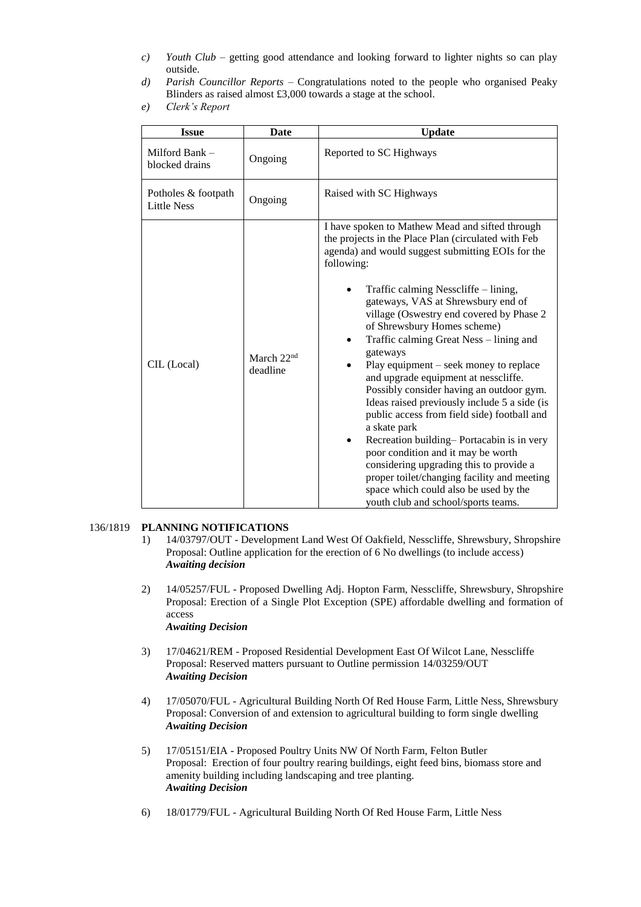- *c) Youth Club* getting good attendance and looking forward to lighter nights so can play outside.
- *d) Parish Councillor Reports*  Congratulations noted to the people who organised Peaky Blinders as raised almost £3,000 towards a stage at the school.
- *e) Clerk's Report*

| <b>Issue</b>                              | Date                               | <b>Update</b>                                                                                                                                                                                                                                                                                                                                                                                                                                                                                                                                                                                                                                                                                                                                                                                                                                                                                         |  |  |  |
|-------------------------------------------|------------------------------------|-------------------------------------------------------------------------------------------------------------------------------------------------------------------------------------------------------------------------------------------------------------------------------------------------------------------------------------------------------------------------------------------------------------------------------------------------------------------------------------------------------------------------------------------------------------------------------------------------------------------------------------------------------------------------------------------------------------------------------------------------------------------------------------------------------------------------------------------------------------------------------------------------------|--|--|--|
| Milford Bank -<br>blocked drains          | Ongoing                            | Reported to SC Highways                                                                                                                                                                                                                                                                                                                                                                                                                                                                                                                                                                                                                                                                                                                                                                                                                                                                               |  |  |  |
| Potholes & footpath<br><b>Little Ness</b> | Ongoing                            | Raised with SC Highways                                                                                                                                                                                                                                                                                                                                                                                                                                                                                                                                                                                                                                                                                                                                                                                                                                                                               |  |  |  |
| CIL (Local)                               | March 22 <sup>nd</sup><br>deadline | I have spoken to Mathew Mead and sifted through<br>the projects in the Place Plan (circulated with Feb<br>agenda) and would suggest submitting EOIs for the<br>following:<br>Traffic calming Nesscliffe – lining,<br>gateways, VAS at Shrewsbury end of<br>village (Oswestry end covered by Phase 2<br>of Shrewsbury Homes scheme)<br>Traffic calming Great Ness - lining and<br>gateways<br>Play equipment $-$ seek money to replace<br>and upgrade equipment at nesscliffe.<br>Possibly consider having an outdoor gym.<br>Ideas raised previously include 5 a side (is<br>public access from field side) football and<br>a skate park<br>Recreation building-Portacabin is in very<br>poor condition and it may be worth<br>considering upgrading this to provide a<br>proper toilet/changing facility and meeting<br>space which could also be used by the<br>youth club and school/sports teams. |  |  |  |

## 136/1819 **PLANNING NOTIFICATIONS**

- 1) 14/03797/OUT Development Land West Of Oakfield, Nesscliffe, Shrewsbury, Shropshire Proposal: Outline application for the erection of 6 No dwellings (to include access) *Awaiting decision*
- 2) 14/05257/FUL Proposed Dwelling Adj. Hopton Farm, Nesscliffe, Shrewsbury, Shropshire Proposal: Erection of a Single Plot Exception (SPE) affordable dwelling and formation of access *Awaiting Decision*
- 3) 17/04621/REM Proposed Residential Development East Of Wilcot Lane, Nesscliffe Proposal: Reserved matters pursuant to Outline permission 14/03259/OUT *Awaiting Decision*
- 4) 17/05070/FUL Agricultural Building North Of Red House Farm, Little Ness, Shrewsbury Proposal: Conversion of and extension to agricultural building to form single dwelling *Awaiting Decision*
- 5) 17/05151/EIA Proposed Poultry Units NW Of North Farm, Felton Butler Proposal: Erection of four poultry rearing buildings, eight feed bins, biomass store and amenity building including landscaping and tree planting. *Awaiting Decision*
- 6) 18/01779/FUL Agricultural Building North Of Red House Farm, Little Ness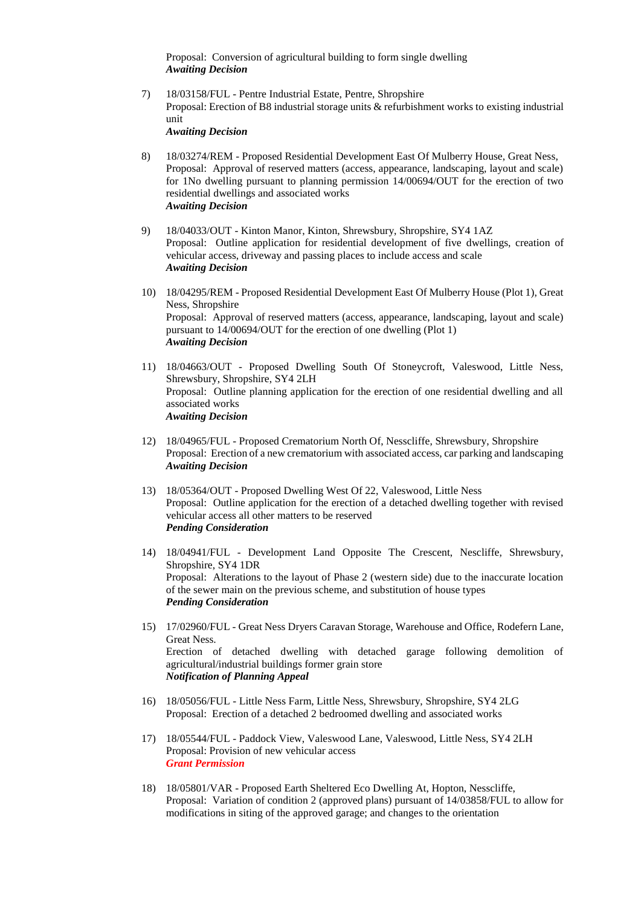Proposal: Conversion of agricultural building to form single dwelling *Awaiting Decision*

7) 18/03158/FUL - Pentre Industrial Estate, Pentre, Shropshire Proposal: Erection of B8 industrial storage units & refurbishment works to existing industrial unit

*Awaiting Decision*

- 8) 18/03274/REM Proposed Residential Development East Of Mulberry House, Great Ness, Proposal: Approval of reserved matters (access, appearance, landscaping, layout and scale) for 1No dwelling pursuant to planning permission 14/00694/OUT for the erection of two residential dwellings and associated works *Awaiting Decision*
- 9) 18/04033/OUT Kinton Manor, Kinton, Shrewsbury, Shropshire, SY4 1AZ Proposal: Outline application for residential development of five dwellings, creation of vehicular access, driveway and passing places to include access and scale *Awaiting Decision*
- 10) 18/04295/REM Proposed Residential Development East Of Mulberry House (Plot 1), Great Ness, Shropshire Proposal: Approval of reserved matters (access, appearance, landscaping, layout and scale) pursuant to 14/00694/OUT for the erection of one dwelling (Plot 1) *Awaiting Decision*
- 11) 18/04663/OUT Proposed Dwelling South Of Stoneycroft, Valeswood, Little Ness, Shrewsbury, Shropshire, SY4 2LH Proposal: Outline planning application for the erection of one residential dwelling and all associated works *Awaiting Decision*
- 12) 18/04965/FUL Proposed Crematorium North Of, Nesscliffe, Shrewsbury, Shropshire Proposal: Erection of a new crematorium with associated access, car parking and landscaping *Awaiting Decision*
- 13) 18/05364/OUT Proposed Dwelling West Of 22, Valeswood, Little Ness Proposal: Outline application for the erection of a detached dwelling together with revised vehicular access all other matters to be reserved *Pending Consideration*
- 14) 18/04941/FUL Development Land Opposite The Crescent, Nescliffe, Shrewsbury, Shropshire, SY4 1DR Proposal: Alterations to the layout of Phase 2 (western side) due to the inaccurate location of the sewer main on the previous scheme, and substitution of house types *Pending Consideration*
- 15) 17/02960/FUL Great Ness Dryers Caravan Storage, Warehouse and Office, Rodefern Lane, Great Ness. Erection of detached dwelling with detached garage following demolition of agricultural/industrial buildings former grain store *Notification of Planning Appeal*
- 16) 18/05056/FUL Little Ness Farm, Little Ness, Shrewsbury, Shropshire, SY4 2LG Proposal: Erection of a detached 2 bedroomed dwelling and associated works
- 17) 18/05544/FUL Paddock View, Valeswood Lane, Valeswood, Little Ness, SY4 2LH Proposal: Provision of new vehicular access *Grant Permission*
- 18) 18/05801/VAR Proposed Earth Sheltered Eco Dwelling At, Hopton, Nesscliffe, Proposal: Variation of condition 2 (approved plans) pursuant of 14/03858/FUL to allow for modifications in siting of the approved garage; and changes to the orientation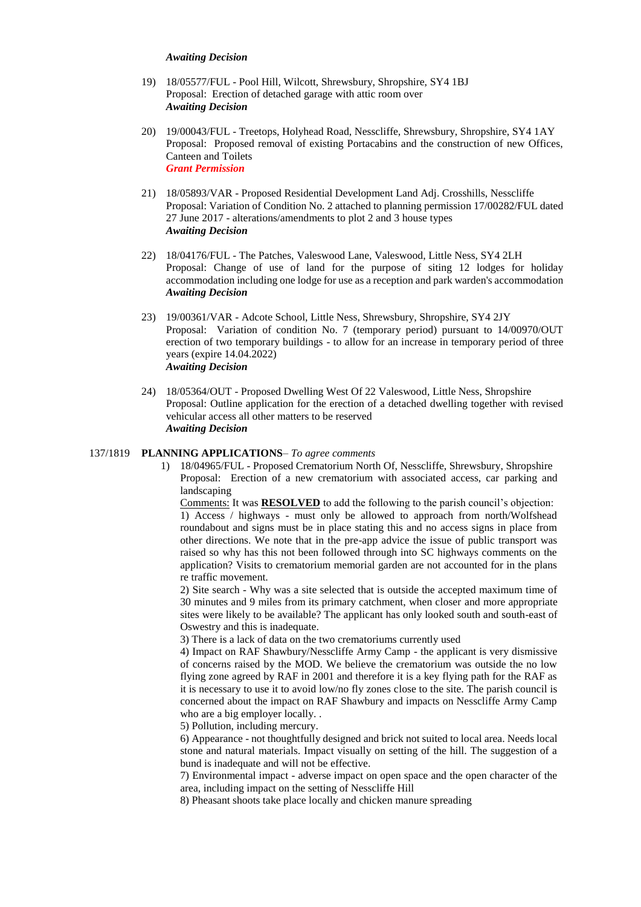#### *Awaiting Decision*

- 19) 18/05577/FUL Pool Hill, Wilcott, Shrewsbury, Shropshire, SY4 1BJ Proposal: Erection of detached garage with attic room over *Awaiting Decision*
- 20) 19/00043/FUL Treetops, Holyhead Road, Nesscliffe, Shrewsbury, Shropshire, SY4 1AY Proposal: Proposed removal of existing Portacabins and the construction of new Offices, Canteen and Toilets *Grant Permission*
- 21) 18/05893/VAR Proposed Residential Development Land Adj. Crosshills, Nesscliffe Proposal: Variation of Condition No. 2 attached to planning permission 17/00282/FUL dated 27 June 2017 - alterations/amendments to plot 2 and 3 house types *Awaiting Decision*
- 22) 18/04176/FUL The Patches, Valeswood Lane, Valeswood, Little Ness, SY4 2LH Proposal: Change of use of land for the purpose of siting 12 lodges for holiday accommodation including one lodge for use as a reception and park warden's accommodation *Awaiting Decision*
- 23) 19/00361/VAR Adcote School, Little Ness, Shrewsbury, Shropshire, SY4 2JY Proposal: Variation of condition No. 7 (temporary period) pursuant to 14/00970/OUT erection of two temporary buildings - to allow for an increase in temporary period of three years (expire 14.04.2022) *Awaiting Decision*
- 24) 18/05364/OUT Proposed Dwelling West Of 22 Valeswood, Little Ness, Shropshire Proposal: Outline application for the erection of a detached dwelling together with revised vehicular access all other matters to be reserved *Awaiting Decision*

#### 137/1819 **PLANNING APPLICATIONS**– *To agree comments*

1) 18/04965/FUL - Proposed Crematorium North Of, Nesscliffe, Shrewsbury, Shropshire Proposal: Erection of a new crematorium with associated access, car parking and landscaping

Comments: It was **RESOLVED** to add the following to the parish council's objection: 1) Access / highways - must only be allowed to approach from north/Wolfshead roundabout and signs must be in place stating this and no access signs in place from other directions. We note that in the pre-app advice the issue of public transport was raised so why has this not been followed through into SC highways comments on the application? Visits to crematorium memorial garden are not accounted for in the plans re traffic movement.

2) Site search - Why was a site selected that is outside the accepted maximum time of 30 minutes and 9 miles from its primary catchment, when closer and more appropriate sites were likely to be available? The applicant has only looked south and south-east of Oswestry and this is inadequate.

3) There is a lack of data on the two crematoriums currently used

4) Impact on RAF Shawbury/Nesscliffe Army Camp - the applicant is very dismissive of concerns raised by the MOD. We believe the crematorium was outside the no low flying zone agreed by RAF in 2001 and therefore it is a key flying path for the RAF as it is necessary to use it to avoid low/no fly zones close to the site. The parish council is concerned about the impact on RAF Shawbury and impacts on Nesscliffe Army Camp who are a big employer locally. .

5) Pollution, including mercury.

6) Appearance - not thoughtfully designed and brick not suited to local area. Needs local stone and natural materials. Impact visually on setting of the hill. The suggestion of a bund is inadequate and will not be effective.

7) Environmental impact - adverse impact on open space and the open character of the area, including impact on the setting of Nesscliffe Hill

8) Pheasant shoots take place locally and chicken manure spreading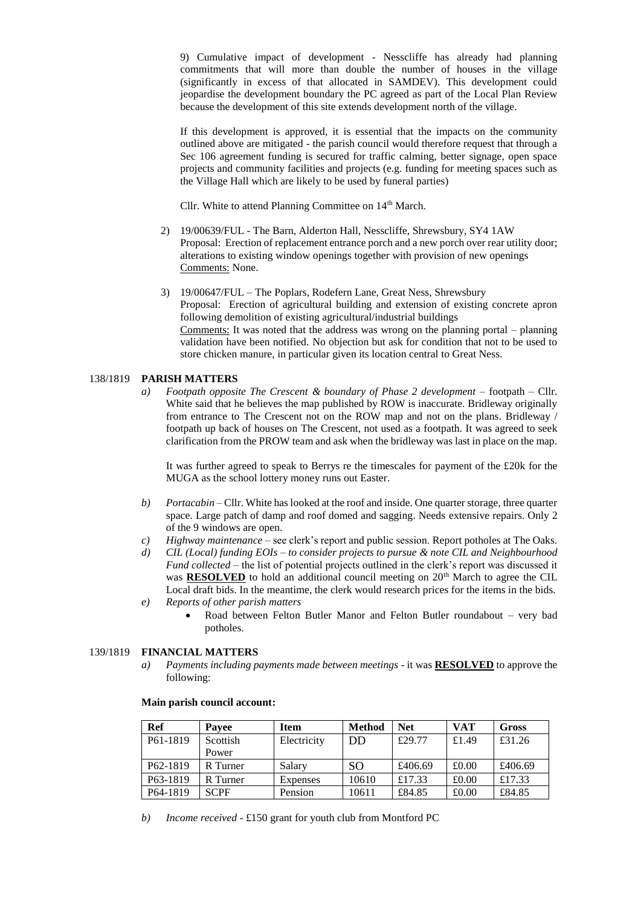9) Cumulative impact of development - Nesscliffe has already had planning commitments that will more than double the number of houses in the village (significantly in excess of that allocated in SAMDEV). This development could jeopardise the development boundary the PC agreed as part of the Local Plan Review because the development of this site extends development north of the village.

If this development is approved, it is essential that the impacts on the community outlined above are mitigated - the parish council would therefore request that through a Sec 106 agreement funding is secured for traffic calming, better signage, open space projects and community facilities and projects (e.g. funding for meeting spaces such as the Village Hall which are likely to be used by funeral parties)

Cllr. White to attend Planning Committee on 14<sup>th</sup> March.

- 2) 19/00639/FUL The Barn, Alderton Hall, Nesscliffe, Shrewsbury, SY4 1AW Proposal: Erection of replacement entrance porch and a new porch over rear utility door; alterations to existing window openings together with provision of new openings Comments: None.
- 3) 19/00647/FUL The Poplars, Rodefern Lane, Great Ness, Shrewsbury Proposal: Erection of agricultural building and extension of existing concrete apron following demolition of existing agricultural/industrial buildings Comments: It was noted that the address was wrong on the planning portal – planning validation have been notified. No objection but ask for condition that not to be used to store chicken manure, in particular given its location central to Great Ness.

#### 138/1819 **PARISH MATTERS**

*a) Footpath opposite The Crescent & boundary of Phase 2 development* – footpath – Cllr. White said that he believes the map published by ROW is inaccurate. Bridleway originally from entrance to The Crescent not on the ROW map and not on the plans. Bridleway / footpath up back of houses on The Crescent, not used as a footpath. It was agreed to seek clarification from the PROW team and ask when the bridleway was last in place on the map.

It was further agreed to speak to Berrys re the timescales for payment of the £20k for the MUGA as the school lottery money runs out Easter.

- *b) Portacabin* Cllr. White has looked at the roof and inside. One quarter storage, three quarter space. Large patch of damp and roof domed and sagging. Needs extensive repairs. Only 2 of the 9 windows are open.
- *c) Highway maintenance* see clerk's report and public session. Report potholes at The Oaks.
- *d) CIL (Local) funding EOIs – to consider projects to pursue & note CIL and Neighbourhood Fund collected* – the list of potential projects outlined in the clerk's report was discussed it was **RESOLVED** to hold an additional council meeting on  $20<sup>th</sup>$  March to agree the CIL Local draft bids. In the meantime, the clerk would research prices for the items in the bids. *e) Reports of other parish matters*
	- Road between Felton Butler Manor and Felton Butler roundabout very bad potholes.

#### 139/1819 **FINANCIAL MATTERS**

*a) Payments including payments made between meetings* - it was **RESOLVED** to approve the following:

| Ref                   | <b>Pavee</b> | <b>Item</b> | <b>Method</b> | <b>Net</b> | <b>VAT</b> | Gross   |
|-----------------------|--------------|-------------|---------------|------------|------------|---------|
| P61-1819              | Scottish     | Electricity | DD            | £29.77     | £1.49      | £31.26  |
|                       | Power        |             |               |            |            |         |
| P <sub>62</sub> -1819 | R Turner     | Salary      | SO.           | £406.69    | £0.00      | £406.69 |
| P <sub>6</sub> 3-1819 | R Turner     | Expenses    | 10610         | £17.33     | £0.00      | £17.33  |
| P64-1819              | <b>SCPF</b>  | Pension     | 10611         | £84.85     | £0.00      | £84.85  |

#### **Main parish council account:**

*b) Income received* - £150 grant for youth club from Montford PC